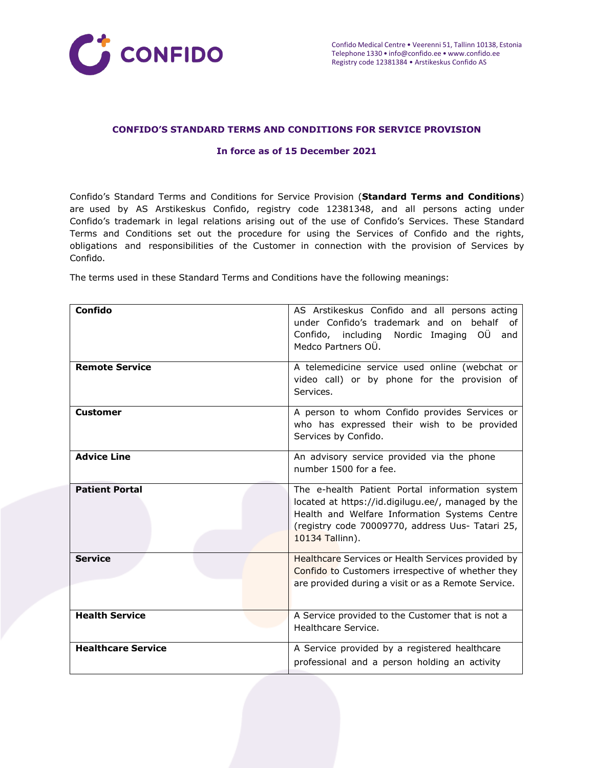

### **CONFIDO'S STANDARD TERMS AND CONDITIONS FOR SERVICE PROVISION**

#### **In force as of 15 December 2021**

Confido's Standard Terms and Conditions for Service Provision (**Standard Terms and Conditions**) are used by AS Arstikeskus Confido, registry code 12381348, and all persons acting under Confido's trademark in legal relations arising out of the use of Confido's Services. These Standard Terms and Conditions set out the procedure for using the Services of Confido and the rights, obligations and responsibilities of the Customer in connection with the provision of Services by Confido.

The terms used in these Standard Terms and Conditions have the following meanings:

| Confido                   | AS Arstikeskus Confido and all persons acting<br>under Confido's trademark and on behalf<br>0f<br>Confido, including Nordic Imaging OU and                                                                                   |
|---------------------------|------------------------------------------------------------------------------------------------------------------------------------------------------------------------------------------------------------------------------|
|                           | Medco Partners OÜ.                                                                                                                                                                                                           |
| <b>Remote Service</b>     | A telemedicine service used online (webchat or<br>video call) or by phone for the provision of<br>Services.                                                                                                                  |
| <b>Customer</b>           | A person to whom Confido provides Services or<br>who has expressed their wish to be provided<br>Services by Confido.                                                                                                         |
| <b>Advice Line</b>        | An advisory service provided via the phone<br>number 1500 for a fee.                                                                                                                                                         |
| <b>Patient Portal</b>     | The e-health Patient Portal information system<br>located at https://id.digilugu.ee/, managed by the<br>Health and Welfare Information Systems Centre<br>(registry code 70009770, address Uus- Tatari 25,<br>10134 Tallinn). |
| <b>Service</b>            | Healthcare Services or Health Services provided by<br>Confido to Customers irrespective of whether they<br>are provided during a visit or as a Remote Service.                                                               |
| <b>Health Service</b>     | A Service provided to the Customer that is not a<br>Healthcare Service.                                                                                                                                                      |
| <b>Healthcare Service</b> | A Service provided by a registered healthcare<br>professional and a person holding an activity                                                                                                                               |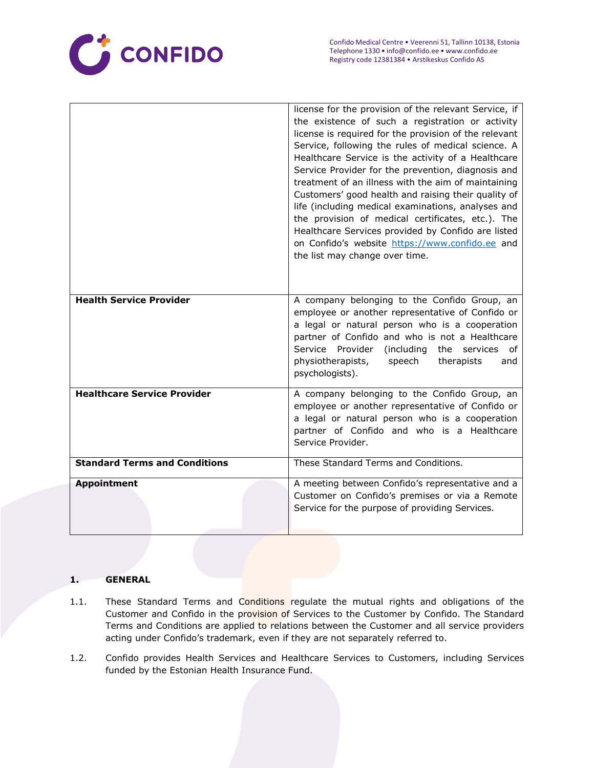

|                                      | license for the provision of the relevant Service, if<br>the existence of such a registration or activity<br>license is required for the provision of the relevant<br>Service, following the rules of medical science. A<br>Healthcare Service is the activity of a Healthcare<br>Service Provider for the prevention, diagnosis and<br>treatment of an illness with the aim of maintaining<br>Customers' good health and raising their quality of<br>life (including medical examinations, analyses and<br>the provision of medical certificates, etc.). The<br>Healthcare Services provided by Confido are listed<br>on Confido's website https://www.confido.ee and<br>the list may change over time. |
|--------------------------------------|----------------------------------------------------------------------------------------------------------------------------------------------------------------------------------------------------------------------------------------------------------------------------------------------------------------------------------------------------------------------------------------------------------------------------------------------------------------------------------------------------------------------------------------------------------------------------------------------------------------------------------------------------------------------------------------------------------|
| <b>Health Service Provider</b>       | A company belonging to the Confido Group, an<br>employee or another representative of Confido or<br>a legal or natural person who is a cooperation<br>partner of Confido and who is not a Healthcare<br>Service Provider<br>(including the services<br>of<br>physiotherapists,<br>speech<br>therapists<br>and<br>psychologists).                                                                                                                                                                                                                                                                                                                                                                         |
| <b>Healthcare Service Provider</b>   | A company belonging to the Confido Group, an<br>employee or another representative of Confido or<br>a legal or natural person who is a cooperation<br>partner of Confido and who is a Healthcare<br>Service Provider.                                                                                                                                                                                                                                                                                                                                                                                                                                                                                    |
| <b>Standard Terms and Conditions</b> | These Standard Terms and Conditions.                                                                                                                                                                                                                                                                                                                                                                                                                                                                                                                                                                                                                                                                     |
| <b>Appointment</b>                   | A meeting between Confido's representative and a<br>Customer on Confido's premises or via a Remote<br>Service for the purpose of providing Services.                                                                                                                                                                                                                                                                                                                                                                                                                                                                                                                                                     |

# **1. GENERAL**

- 1.1. These Standard Terms and Conditions regulate the mutual rights and obligations of the Customer and Confido in the provision of Services to the Customer by Confido. The Standard Terms and Conditions are applied to relations between the Customer and all service providers acting under Confido's trademark, even if they are not separately referred to.
- 1.2. Confido provides Health Services and Healthcare Services to Customers, including Services funded by the Estonian Health Insurance Fund.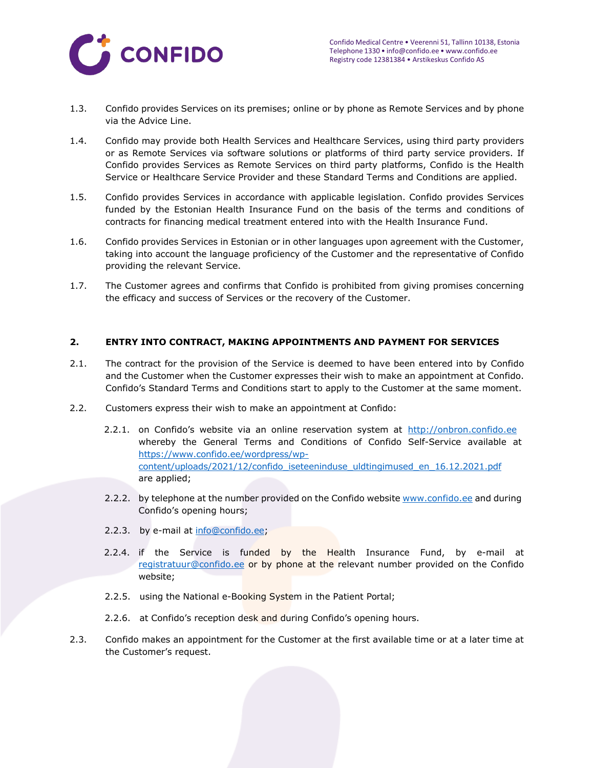

- 1.3. Confido provides Services on its premises; online or by phone as Remote Services and by phone via the Advice Line.
- 1.4. Confido may provide both Health Services and Healthcare Services, using third party providers or as Remote Services via software solutions or platforms of third party service providers. If Confido provides Services as Remote Services on third party platforms, Confido is the Health Service or Healthcare Service Provider and these Standard Terms and Conditions are applied.
- 1.5. Confido provides Services in accordance with applicable legislation. Confido provides Services funded by the Estonian Health Insurance Fund on the basis of the terms and conditions of contracts for financing medical treatment entered into with the Health Insurance Fund.
- 1.6. Confido provides Services in Estonian or in other languages upon agreement with the Customer, taking into account the language proficiency of the Customer and the representative of Confido providing the relevant Service.
- 1.7. The Customer agrees and confirms that Confido is prohibited from giving promises concerning the efficacy and success of Services or the recovery of the Customer.

### **2. ENTRY INTO CONTRACT, MAKING APPOINTMENTS AND PAYMENT FOR SERVICES**

- 2.1. The contract for the provision of the Service is deemed to have been entered into by Confido and the Customer when the Customer expresses their wish to make an appointment at Confido. Confido's Standard Terms and Conditions start to apply to the Customer at the same moment.
- 2.2. Customers express their wish to make an appointment at Confido:
	- 2.2.1. on Confido's website via an online reservation system at [http://onbron.confido.ee](http://onbron.confido.ee/) whereby the General Terms and Conditions of Confido Self-Service available at [https://www.confido.ee/wordpress/wp](https://www.confido.ee/wordpress/wp-content/uploads/2021/12/confido_iseteeninduse_uldtingimused_en_16.12.2021.pdf)[content/uploads/2021/12/confido\\_iseteeninduse\\_uldtingimused\\_en\\_16.12.2021.pdf](https://www.confido.ee/wordpress/wp-content/uploads/2021/12/confido_iseteeninduse_uldtingimused_en_16.12.2021.pdf)  are applied;
	- 2.2.2. by telephone at the number provided on the Confido website [www.confido.ee](http://www.confido.ee/) and during Confido's opening hours;
	- 2.2.3. by e-mail at [info@confido.ee;](mailto:info@confido.ee)
	- 2.2.4. if the Service is funded by the Health Insurance Fund, by e-mail at [registratuur@confido.ee o](mailto:registratuur@confido.ee)r by phone at the relevant number provided on the Confido website;
	- 2.2.5. using the National e-Booking System in the Patient Portal;
	- 2.2.6. at Confido's reception desk and during Confido's opening hours.
- 2.3. Confido makes an appointment for the Customer at the first available time or at a later time at the Customer's request.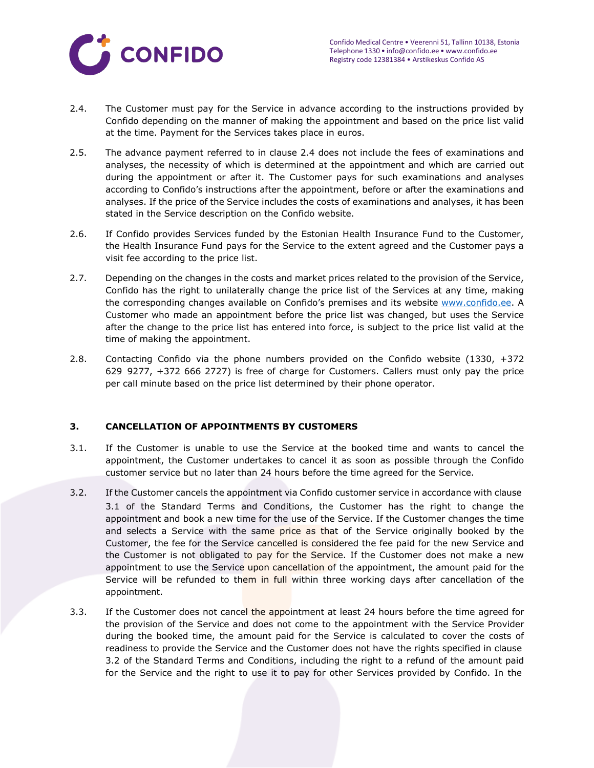

- <span id="page-3-0"></span>2.4. The Customer must pay for the Service in advance according to the instructions provided by Confido depending on the manner of making the appointment and based on the price list valid at the time. Payment for the Services takes place in euros.
- 2.5. The advance payment referred to in clause [2.4 d](#page-3-0)oes not include the fees of examinations and analyses, the necessity of which is determined at the appointment and which are carried out during the appointment or after it. The Customer pays for such examinations and analyses according to Confido's instructions after the appointment, before or after the examinations and analyses. If the price of the Service includes the costs of examinations and analyses, it has been stated in the Service description on the Confido website.
- 2.6. If Confido provides Services funded by the Estonian Health Insurance Fund to the Customer, the Health Insurance Fund pays for the Service to the extent agreed and the Customer pays a visit fee according to the price list.
- 2.7. Depending on the changes in the costs and market prices related to the provision of the Service, Confido has the right to unilaterally change the price list of the Services at any time, making the corresponding changes available on Confido's premises and its website [www.confido.ee. A](http://www.confido.ee/) Customer who made an appointment before the price list was changed, but uses the Service after the change to the price list has entered into force, is subject to the price list valid at the time of making the appointment.
- 2.8. Contacting Confido via the phone numbers provided on the Confido website (1330, +372 629 9277, +372 666 2727) is free of charge for Customers. Callers must only pay the price per call minute based on the price list determined by their phone operator.

# **3. CANCELLATION OF APPOINTMENTS BY CUSTOMERS**

- 3.1. If the Customer is unable to use the Service at the booked time and wants to cancel the appointment, the Customer undertakes to cancel it as soon as possible through the Confido customer service but no later than 24 hours before the time agreed for the Service.
- 3.2. If the Customer cancels the appointment via Confido customer service in accordance with clause 3.1 of the Standard Terms and Conditions, the Customer has the right to change the appointment and book a new time for the use of the Service. If the Customer changes the time and selects a Service with the same price as that of the Service originally booked by the Customer, the fee for the Service cancelled is considered the fee paid for the new Service and the Customer is not obligated to pay for the Service. If the Customer does not make a new appointment to use the Service upon cancellation of the appointment, the amount paid for the Service will be refunded to them in full within three working days after cancellation of the appointment.
- 3.3. If the Customer does not cancel the appointment at least 24 hours before the time agreed for the provision of the Service and does not come to the appointment with the Service Provider during the booked time, the amount paid for the Service is calculated to cover the costs of readiness to provide the Service and the Customer does not have the rights specified in clause 3.2 of the Standard Terms and Conditions, including the right to a refund of the amount paid for the Service and the right to use it to pay for other Services provided by Confido. In the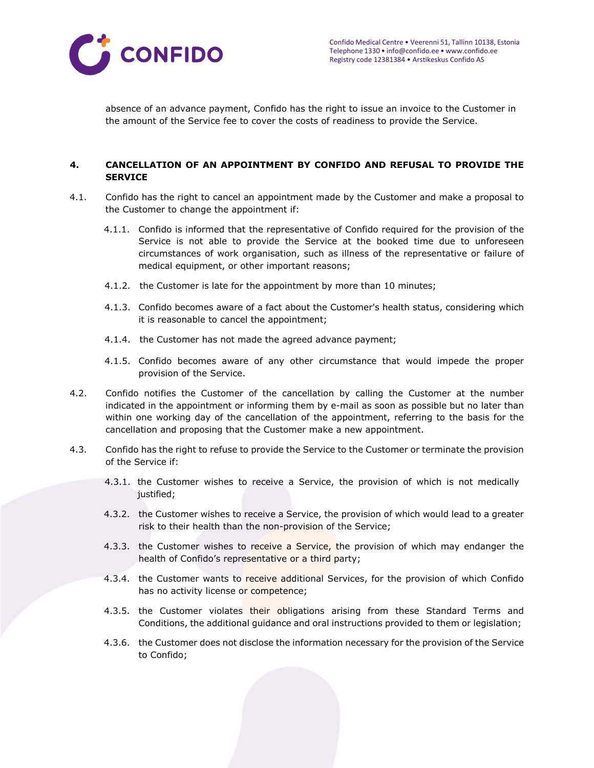

absence of an advance payment, Confido has the right to issue an invoice to the Customer in the amount of the Service fee to cover the costs of readiness to provide the Service.

### **4. CANCELLATION OF AN APPOINTMENT BY CONFIDO AND REFUSAL TO PROVIDE THE SERVICE**

- 4.1. Confido has the right to cancel an appointment made by the Customer and make a proposal to the Customer to change the appointment if:
	- 4.1.1. Confido is informed that the representative of Confido required for the provision of the Service is not able to provide the Service at the booked time due to unforeseen circumstances of work organisation, such as illness of the representative or failure of medical equipment, or other important reasons;
	- 4.1.2. the Customer is late for the appointment by more than 10 minutes;
	- 4.1.3. Confido becomes aware of a fact about the Customer's health status, considering which it is reasonable to cancel the appointment;
	- 4.1.4. the Customer has not made the agreed advance payment;
	- 4.1.5. Confido becomes aware of any other circumstance that would impede the proper provision of the Service.
- 4.2. Confido notifies the Customer of the cancellation by calling the Customer at the number indicated in the appointment or informing them by e-mail as soon as possible but no later than within one working day of the cancellation of the appointment, referring to the basis for the cancellation and proposing that the Customer make a new appointment.
- 4.3. Confido has the right to refuse to provide the Service to the Customer or terminate the provision of the Service if:
	- 4.3.1. the Customer wishes to receive a Service, the provision of which is not medically justified;
	- 4.3.2. the Customer wishes to receive a Service, the provision of which would lead to a greater risk to their health than the non-provision of the Service;
	- 4.3.3. the Customer wishes to receive a Service, the provision of which may endanger the health of Confido's representative or a third party;
	- 4.3.4. the Customer wants to receive additional Services, for the provision of which Confido has no activity license or competence;
	- 4.3.5. the Customer violates their obligations arising from these Standard Terms and Conditions, the additional guidance and oral instructions provided to them or legislation;
	- 4.3.6. the Customer does not disclose the information necessary for the provision of the Service to Confido;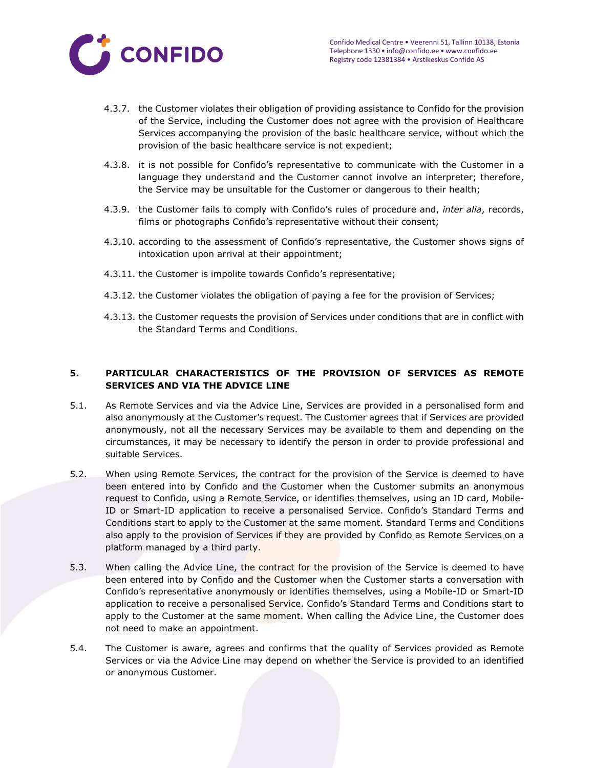

- 4.3.7. the Customer violates their obligation of providing assistance to Confido for the provision of the Service, including the Customer does not agree with the provision of Healthcare Services accompanying the provision of the basic healthcare service, without which the provision of the basic healthcare service is not expedient;
- 4.3.8. it is not possible for Confido's representative to communicate with the Customer in a language they understand and the Customer cannot involve an interpreter; therefore, the Service may be unsuitable for the Customer or dangerous to their health;
- 4.3.9. the Customer fails to comply with Confido's rules of procedure and, *inter alia*, records, films or photographs Confido's representative without their consent;
- 4.3.10. according to the assessment of Confido's representative, the Customer shows signs of intoxication upon arrival at their appointment;
- 4.3.11. the Customer is impolite towards Confido's representative;
- 4.3.12. the Customer violates the obligation of paying a fee for the provision of Services;
- 4.3.13. the Customer requests the provision of Services under conditions that are in conflict with the Standard Terms and Conditions.

# **5. PARTICULAR CHARACTERISTICS OF THE PROVISION OF SERVICES AS REMOTE SERVICES AND VIA THE ADVICE LINE**

- 5.1. As Remote Services and via the Advice Line, Services are provided in a personalised form and also anonymously at the Customer's request. The Customer agrees that if Services are provided anonymously, not all the necessary Services may be available to them and depending on the circumstances, it may be necessary to identify the person in order to provide professional and suitable Services.
- 5.2. When using Remote Services, the contract for the provision of the Service is deemed to have been entered into by Confido and the Customer when the Customer submits an anonymous request to Confido, using a Remote Service, or identifies themselves, using an ID card, Mobile-ID or Smart-ID application to receive a personalised Service. Confido's Standard Terms and Conditions start to apply to the Customer at the same moment. Standard Terms and Conditions also apply to the provision of Services if they are provided by Confido as Remote Services on a platform managed by a third party.
- 5.3. When calling the Advice Line, the contract for the provision of the Service is deemed to have been entered into by Confido and the Customer when the Customer starts a conversation with Confido's representative anonymously or identifies themselves, using a Mobile-ID or Smart-ID application to receive a personalised Service. Confido's Standard Terms and Conditions start to apply to the Customer at the same moment. When calling the Advice Line, the Customer does not need to make an appointment.
- 5.4. The Customer is aware, agrees and confirms that the quality of Services provided as Remote Services or via the Advice Line may depend on whether the Service is provided to an identified or anonymous Customer.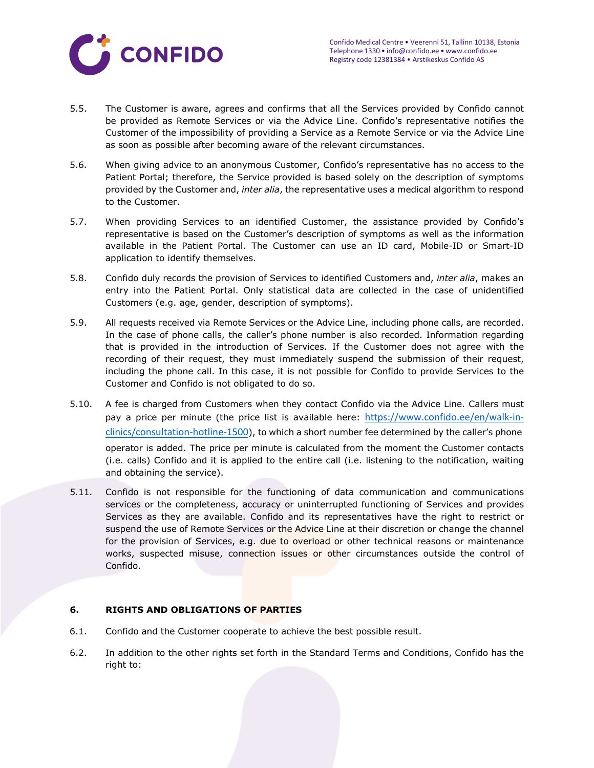

- 5.5. The Customer is aware, agrees and confirms that all the Services provided by Confido cannot be provided as Remote Services or via the Advice Line. Confido's representative notifies the Customer of the impossibility of providing a Service as a Remote Service or via the Advice Line as soon as possible after becoming aware of the relevant circumstances.
- 5.6. When giving advice to an anonymous Customer, Confido's representative has no access to the Patient Portal; therefore, the Service provided is based solely on the description of symptoms provided by the Customer and, *inter alia*, the representative uses a medical algorithm to respond to the Customer.
- 5.7. When providing Services to an identified Customer, the assistance provided by Confido's representative is based on the Customer's description of symptoms as well as the information available in the Patient Portal. The Customer can use an ID card, Mobile-ID or Smart-ID application to identify themselves.
- 5.8. Confido duly records the provision of Services to identified Customers and, *inter alia*, makes an entry into the Patient Portal. Only statistical data are collected in the case of unidentified Customers (e.g. age, gender, description of symptoms).
- 5.9. All requests received via Remote Services or the Advice Line, including phone calls, are recorded. In the case of phone calls, the caller's phone number is also recorded. Information regarding that is provided in the introduction of Services. If the Customer does not agree with the recording of their request, they must immediately suspend the submission of their request, including the phone call. In this case, it is not possible for Confido to provide Services to the Customer and Confido is not obligated to do so.
- 5.10. A fee is charged from Customers when they contact Confido via the Advice Line. Callers must pay a price per minute (the price list is available here: [https://www.confido.ee/en/walk-in](https://www.confido.ee/en/walk-in-clinics/consultation-hotline-1500/)[clinics/consultation-hotline-1500](https://www.confido.ee/en/walk-in-clinics/consultation-hotline-1500/)), to which a short number fee determined by the caller's phone operator is added. The price per minute is calculated from the moment the Customer contacts (i.e. calls) Confido and it is applied to the entire call (i.e. listening to the notification, waiting and obtaining the service).
- 5.11. Confido is not responsible for the functioning of data communication and communications services or the completeness, accuracy or uninterrupted functioning of Services and provides Services as they are available. Confido and its representatives have the right to restrict or suspend the use of Remote Services or the Advice Line at their discretion or change the channel for the provision of Services, e.g. due to overload or other technical reasons or maintenance works, suspected misuse, connection issues or other circumstances outside the control of Confido.

### **6. RIGHTS AND OBLIGATIONS OF PARTIES**

- 6.1. Confido and the Customer cooperate to achieve the best possible result.
- 6.2. In addition to the other rights set forth in the Standard Terms and Conditions, Confido has the right to: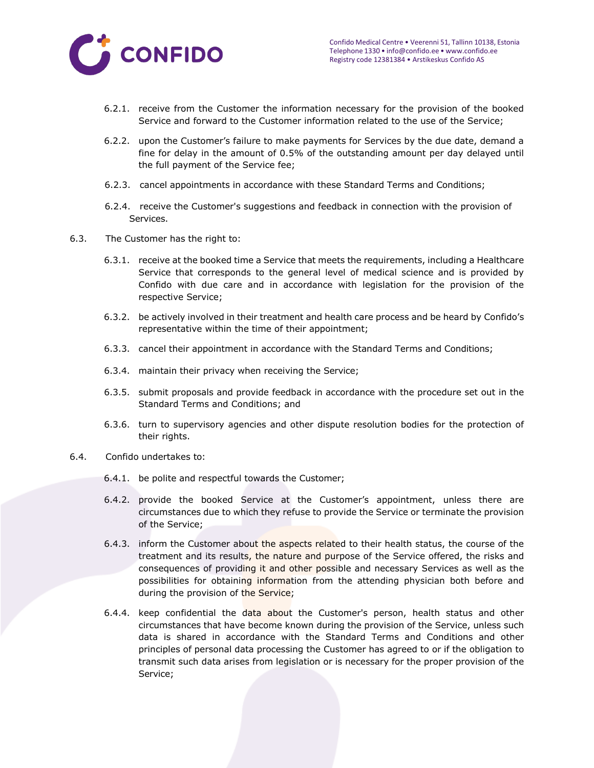

- 6.2.1. receive from the Customer the information necessary for the provision of the booked Service and forward to the Customer information related to the use of the Service;
- 6.2.2. upon the Customer's failure to make payments for Services by the due date, demand a fine for delay in the amount of 0.5% of the outstanding amount per day delayed until the full payment of the Service fee;
- 6.2.3. cancel appointments in accordance with these Standard Terms and Conditions;
- 6.2.4. receive the Customer's suggestions and feedback in connection with the provision of Services.
- 6.3. The Customer has the right to:
	- 6.3.1. receive at the booked time a Service that meets the requirements, including a Healthcare Service that corresponds to the general level of medical science and is provided by Confido with due care and in accordance with legislation for the provision of the respective Service;
	- 6.3.2. be actively involved in their treatment and health care process and be heard by Confido's representative within the time of their appointment;
	- 6.3.3. cancel their appointment in accordance with the Standard Terms and Conditions;
	- 6.3.4. maintain their privacy when receiving the Service;
	- 6.3.5. submit proposals and provide feedback in accordance with the procedure set out in the Standard Terms and Conditions; and
	- 6.3.6. turn to supervisory agencies and other dispute resolution bodies for the protection of their rights.
- 6.4. Confido undertakes to:
	- 6.4.1. be polite and respectful towards the Customer;
	- 6.4.2. provide the booked Service at the Customer's appointment, unless there are circumstances due to which they refuse to provide the Service or terminate the provision of the Service;
	- 6.4.3. inform the Customer about the aspects related to their health status, the course of the treatment and its results, the nature and purpose of the Service offered, the risks and consequences of providing it and other possible and necessary Services as well as the possibilities for obtaining information from the attending physician both before and during the provision of the Service;
	- 6.4.4. keep confidential the data about the Customer's person, health status and other circumstances that have become known during the provision of the Service, unless such data is shared in accordance with the Standard Terms and Conditions and other principles of personal data processing the Customer has agreed to or if the obligation to transmit such data arises from legislation or is necessary for the proper provision of the Service;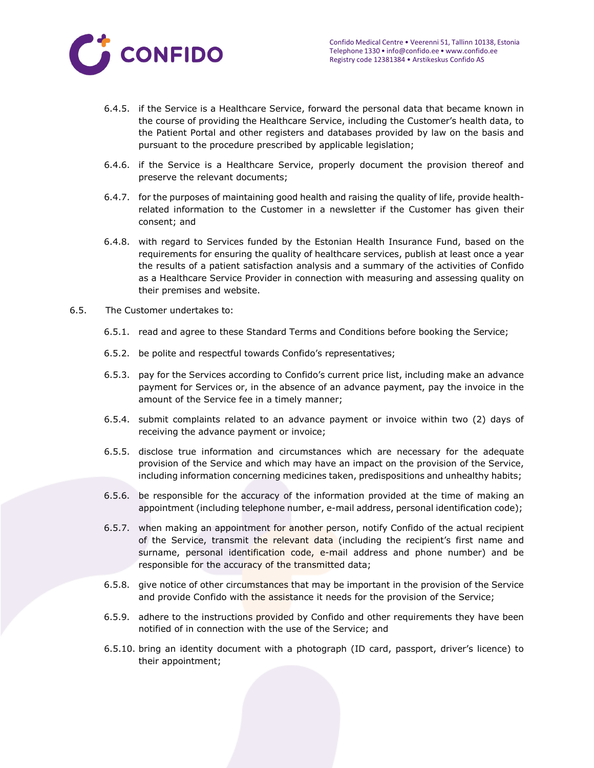

- 6.4.5. if the Service is a Healthcare Service, forward the personal data that became known in the course of providing the Healthcare Service, including the Customer's health data, to the Patient Portal and other registers and databases provided by law on the basis and pursuant to the procedure prescribed by applicable legislation;
- 6.4.6. if the Service is a Healthcare Service, properly document the provision thereof and preserve the relevant documents;
- 6.4.7. for the purposes of maintaining good health and raising the quality of life, provide healthrelated information to the Customer in a newsletter if the Customer has given their consent; and
- 6.4.8. with regard to Services funded by the Estonian Health Insurance Fund, based on the requirements for ensuring the quality of healthcare services, publish at least once a year the results of a patient satisfaction analysis and a summary of the activities of Confido as a Healthcare Service Provider in connection with measuring and assessing quality on their premises and website.
- 6.5. The Customer undertakes to:
	- 6.5.1. read and agree to these Standard Terms and Conditions before booking the Service;
	- 6.5.2. be polite and respectful towards Confido's representatives;
	- 6.5.3. pay for the Services according to Confido's current price list, including make an advance payment for Services or, in the absence of an advance payment, pay the invoice in the amount of the Service fee in a timely manner;
	- 6.5.4. submit complaints related to an advance payment or invoice within two (2) days of receiving the advance payment or invoice;
	- 6.5.5. disclose true information and circumstances which are necessary for the adequate provision of the Service and which may have an impact on the provision of the Service, including information concerning medicines taken, predispositions and unhealthy habits;
	- 6.5.6. be responsible for the accuracy of the information provided at the time of making an appointment (including telephone number, e-mail address, personal identification code);
	- 6.5.7. when making an appointment for another person, notify Confido of the actual recipient of the Service, transmit the relevant data (including the recipient's first name and surname, personal identification code, e-mail address and phone number) and be responsible for the accuracy of the transmitted data;
	- 6.5.8. give notice of other circumstances that may be important in the provision of the Service and provide Confido with the assistance it needs for the provision of the Service;
	- 6.5.9. adhere to the instructions provided by Confido and other requirements they have been notified of in connection with the use of the Service; and
	- 6.5.10. bring an identity document with a photograph (ID card, passport, driver's licence) to their appointment;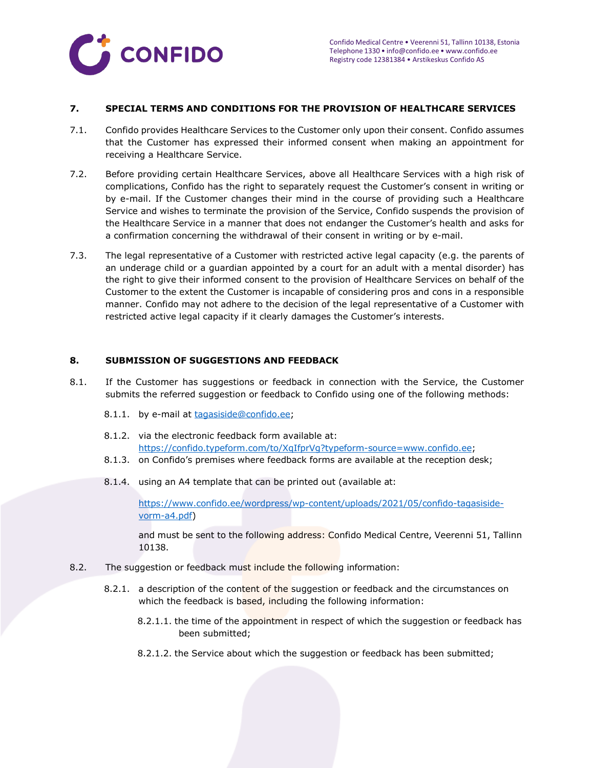

### **7. SPECIAL TERMS AND CONDITIONS FOR THE PROVISION OF HEALTHCARE SERVICES**

- 7.1. Confido provides Healthcare Services to the Customer only upon their consent. Confido assumes that the Customer has expressed their informed consent when making an appointment for receiving a Healthcare Service.
- 7.2. Before providing certain Healthcare Services, above all Healthcare Services with a high risk of complications, Confido has the right to separately request the Customer's consent in writing or by e-mail. If the Customer changes their mind in the course of providing such a Healthcare Service and wishes to terminate the provision of the Service, Confido suspends the provision of the Healthcare Service in a manner that does not endanger the Customer's health and asks for a confirmation concerning the withdrawal of their consent in writing or by e-mail.
- 7.3. The legal representative of a Customer with restricted active legal capacity (e.g. the parents of an underage child or a guardian appointed by a court for an adult with a mental disorder) has the right to give their informed consent to the provision of Healthcare Services on behalf of the Customer to the extent the Customer is incapable of considering pros and cons in a responsible manner. Confido may not adhere to the decision of the legal representative of a Customer with restricted active legal capacity if it clearly damages the Customer's interests.

### **8. SUBMISSION OF SUGGESTIONS AND FEEDBACK**

- 8.1. If the Customer has suggestions or feedback in connection with the Service, the Customer submits the referred suggestion or feedback to Confido using one of the following methods:
	- 8.1.1. by e-mail at [tagasiside@confido.ee;](mailto:tagasiside@confido.ee)
	- 8.1.2. via the electronic feedback form available at: [https://confido.typeform.com/to/XqIfprVg?typeform-source=www.confido.ee;](https://confido.typeform.com/to/XqIfprVg?typeform-source=www.confido.ee)
	- 8.1.3. on Confido's premises where feedback forms are available at the reception desk;
	- 8.1.4. using an A4 template that can be printed out (available at:

[https://www.confido.ee/wordpress/wp-content/uploads/2021/05/confido-tagasiside](https://www.confido.ee/wordpress/wp-content/uploads/2021/05/confido-tagasiside-vorm-a4.pdf)[vorm-a4.pdf\)](https://www.confido.ee/wordpress/wp-content/uploads/2021/05/confido-tagasiside-vorm-a4.pdf)

and must be sent to the following address: Confido Medical Centre, Veerenni 51, Tallinn 10138.

- <span id="page-9-0"></span>8.2. The suggestion or feedback must include the following information:
	- 8.2.1. a description of the content of the suggestion or feedback and the circumstances on which the feedback is based, including the following information:
		- 8.2.1.1. the time of the appointment in respect of which the suggestion or feedback has been submitted;
		- 8.2.1.2. the Service about which the suggestion or feedback has been submitted;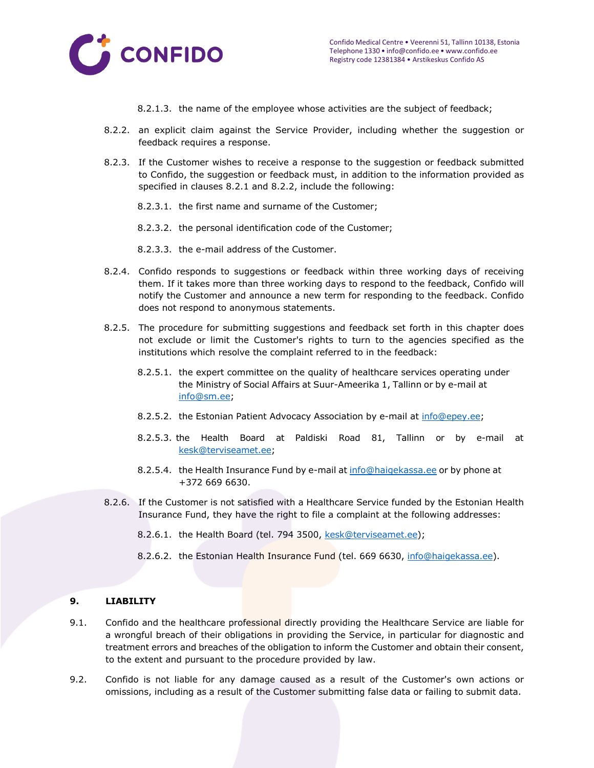<span id="page-10-0"></span>

- 8.2.1.3. the name of the employee whose activities are the subject of feedback;
- 8.2.2. an explicit claim against the Service Provider, including whether the suggestion or feedback requires a response.
- 8.2.3. If the Customer wishes to receive a response to the suggestion or feedback submitted to Confido, the suggestion or feedback must, in addition to the information provided as specified in clauses [8.2.1 a](#page-9-0)nd [8.2.2,](#page-10-0) include the following:
	- 8.2.3.1. the first name and surname of the Customer;
	- 8.2.3.2. the personal identification code of the Customer;
	- 8.2.3.3. the e-mail address of the Customer.
- 8.2.4. Confido responds to suggestions or feedback within three working days of receiving them. If it takes more than three working days to respond to the feedback, Confido will notify the Customer and announce a new term for responding to the feedback. Confido does not respond to anonymous statements.
- 8.2.5. The procedure for submitting suggestions and feedback set forth in this chapter does not exclude or limit the Customer's rights to turn to the agencies specified as the institutions which resolve the complaint referred to in the feedback:
	- 8.2.5.1. the expert committee on the quality of healthcare services operating under the Ministry of Social Affairs at Suur-Ameerika 1, Tallinn or by e-mail at [info@sm.ee;](mailto:info@sm.ee)
	- 8.2.5.2. the Estonian Patient Advocacy Association by e-mail at [info@epey.ee;](mailto:info@epey.ee)
	- 8.2.5.3. the Health Board at Paldiski Road 81, Tallinn or by e-mail at [kesk@terviseamet.ee;](mailto:kesk@terviseamet.ee)
	- 8.2.5.4. the Health Insurance Fund by e-mail at [info@haigekassa.ee](mailto:info@haigekassa.ee) or by phone at +372 669 6630.
- 8.2.6. If the Customer is not satisfied with a Healthcare Service funded by the Estonian Health Insurance Fund, they have the right to file a complaint at the following addresses:
	- 8.2.6.1. the Health Board (tel. 794 3500, [kesk@terviseamet.ee\)](mailto:kesk@terviseamet.ee);
	- 8.2.6.2. the Estonian Health Insurance Fund (tel. 669 6630, [info@haigekassa.ee\)](mailto:info@haigekassa.ee).

### **9. LIABILITY**

- 9.1. Confido and the healthcare professional directly providing the Healthcare Service are liable for a wrongful breach of their obligations in providing the Service, in particular for diagnostic and treatment errors and breaches of the obligation to inform the Customer and obtain their consent, to the extent and pursuant to the procedure provided by law.
- 9.2. Confido is not liable for any damage caused as a result of the Customer's own actions or omissions, including as a result of the Customer submitting false data or failing to submit data.